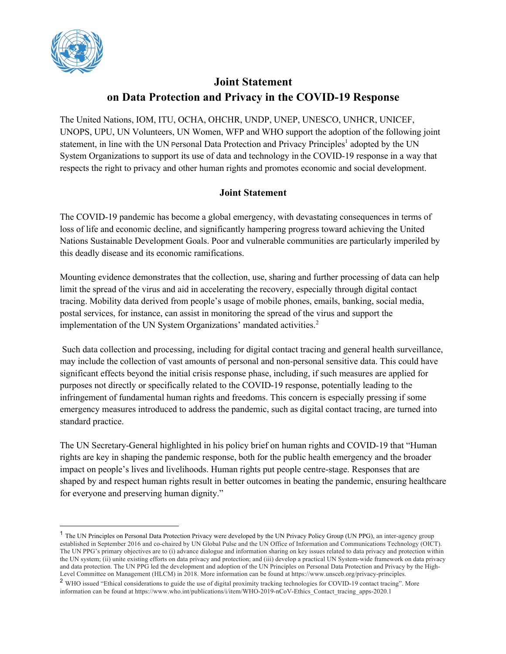

## **Joint Statement on Data Protection and Privacy in the COVID-19 Response**

The United Nations, IOM, ITU, OCHA, OHCHR, UNDP, UNEP, UNESCO, UNHCR, UNICEF, UNOPS, UPU, UN Volunteers, UN Women, WFP and WHO support the adoption of the following joint statement, in line with the UN Personal Data Protection and Privacy Principles<sup>1</sup> adopted by the UN System Organizations to support its use of data and technology in the COVID-19 response in a way that respects the right to privacy and other human rights and promotes economic and social development.

## **Joint Statement**

The COVID-19 pandemic has become a global emergency, with devastating consequences in terms of loss of life and economic decline, and significantly hampering progress toward achieving the United Nations Sustainable Development Goals. Poor and vulnerable communities are particularly imperiled by this deadly disease and its economic ramifications.

Mounting evidence demonstrates that the collection, use, sharing and further processing of data can help limit the spread of the virus and aid in accelerating the recovery, especially through digital contact tracing. Mobility data derived from people's usage of mobile phones, emails, banking, social media, postal services, for instance, can assist in monitoring the spread of the virus and support the implementation of the UN System Organizations' mandated activities.<sup>2</sup>

Such data collection and processing, including for digital contact tracing and general health surveillance, may include the collection of vast amounts of personal and non-personal sensitive data. This could have significant effects beyond the initial crisis response phase, including, if such measures are applied for purposes not directly or specifically related to the COVID-19 response, potentially leading to the infringement of fundamental human rights and freedoms. This concern is especially pressing if some emergency measures introduced to address the pandemic, such as digital contact tracing, are turned into standard practice.

The UN Secretary-General highlighted in his policy brief on human rights and COVID-19 that "Human rights are key in shaping the pandemic response, both for the public health emergency and the broader impact on people's lives and livelihoods. Human rights put people centre-stage. Responses that are shaped by and respect human rights result in better outcomes in beating the pandemic, ensuring healthcare for everyone and preserving human dignity."

<sup>&</sup>lt;sup>1</sup> The UN Principles on Personal Data Protection Privacy were developed by the UN Privacy Policy Group (UN PPG), an inter-agency group established in September 2016 and co-chaired by UN Global Pulse and the UN Office of Information and Communications Technology (OICT). The UN PPG's primary objectives are to (i) advance dialogue and information sharing on key issues related to data privacy and protection within the UN system; (ii) unite existing efforts on data privacy and protection; and (iii) develop a practical UN System-wide framework on data privacy and data protection. The UN PPG led the development and adoption of the UN Principles on Personal Data Protection and Privacy by the High-Level Committee on Management (HLCM) in 2018. More information can be found at https://www.unsceb.org/privacy-principles.

<sup>2</sup> WHO issued "Ethical considerations to guide the use of digital proximity tracking technologies for COVID-19 contact tracing". More information can be found at https://www.who.int/publications/i/item/WHO-2019-nCoV-Ethics\_Contact\_tracing\_apps-2020.1